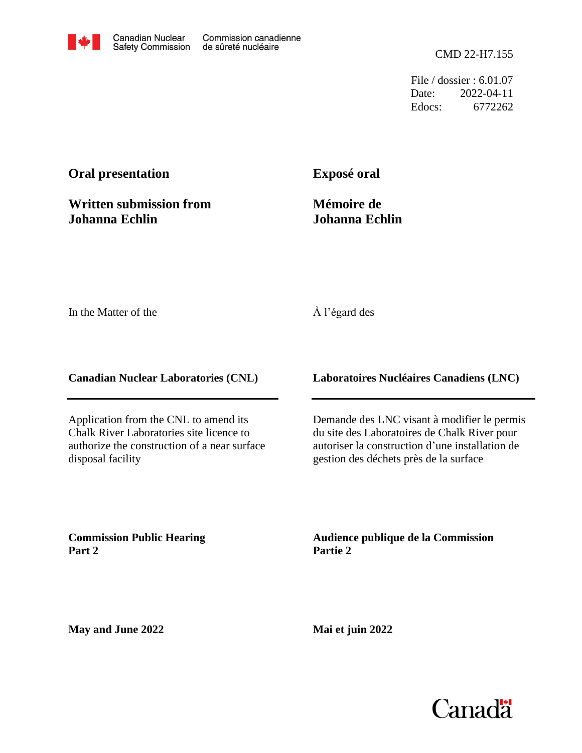File / dossier : 6.01.07 Date: 2022-04-11 Edocs: 6772262

## **Oral presentation**

**Written submission from Johanna Echlin**

**Exposé oral**

**Mémoire de Johanna Echlin**

In the Matter of the

## À l'égard des

**Canadian Nuclear Laboratories (CNL)**

Application from the CNL to amend its Chalk River Laboratories site licence to authorize the construction of a near surface disposal facility

**Laboratoires Nucléaires Canadiens (LNC)**

Demande des LNC visant à modifier le permis du site des Laboratoires de Chalk River pour autoriser la construction d'une installation de gestion des déchets près de la surface

**Commission Public Hearing Part 2**

**Audience publique de la Commission Partie 2**

**May and June 2022**

**Mai et juin 2022**

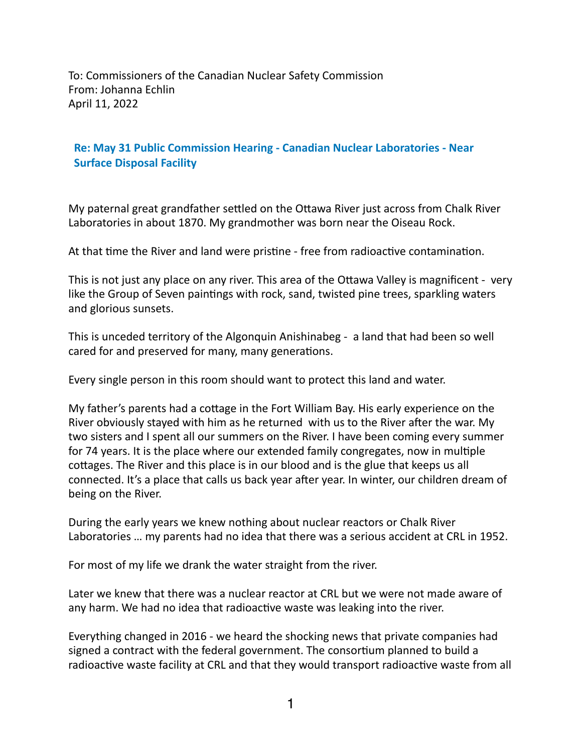To: Commissioners of the Canadian Nuclear Safety Commission From: Johanna Echlin April 11, 2022

## **Re: May 31 Public Commission Hearing - Canadian Nuclear Laboratories - Near Surface Disposal Facility**

My paternal great grandfather settled on the Ottawa River just across from Chalk River Laboratories in about 1870. My grandmother was born near the Oiseau Rock.

At that time the River and land were pristine - free from radioactive contamination.

This is not just any place on any river. This area of the Ottawa Valley is magnificent - very like the Group of Seven paintings with rock, sand, twisted pine trees, sparkling waters and glorious sunsets.

This is unceded territory of the Algonquin Anishinabeg - a land that had been so well cared for and preserved for many, many generations.

Every single person in this room should want to protect this land and water.

My father's parents had a cottage in the Fort William Bay. His early experience on the River obviously stayed with him as he returned with us to the River after the war. My two sisters and I spent all our summers on the River. I have been coming every summer for 74 years. It is the place where our extended family congregates, now in multiple cottages. The River and this place is in our blood and is the glue that keeps us all connected. It's a place that calls us back year after year. In winter, our children dream of being on the River.

During the early years we knew nothing about nuclear reactors or Chalk River Laboratories ... my parents had no idea that there was a serious accident at CRL in 1952.

For most of my life we drank the water straight from the river.

Later we knew that there was a nuclear reactor at CRL but we were not made aware of any harm. We had no idea that radioactive waste was leaking into the river.

Everything changed in 2016 - we heard the shocking news that private companies had signed a contract with the federal government. The consortium planned to build a radioactive waste facility at CRL and that they would transport radioactive waste from all